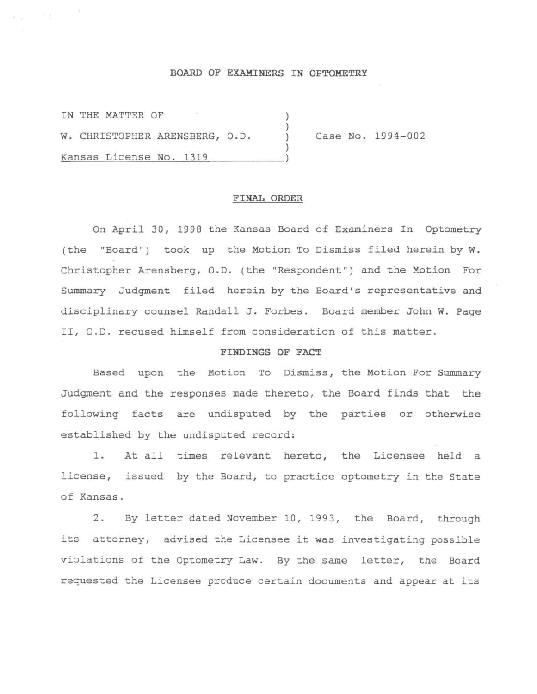#### **BOARD OF EXAMINERS IN OPTOMETRY**

IN THE MATTER OF W. CHRISTOPHER ARENSBERG, O.D. ) ) ) ) Kansas License No. 1319 Case No. 1994-002

### **FINAL ORDER**

On April 30, 1998 the Kansas Board of Examiners In Optometry (the "Board") took up the Motion To Dismiss filed herein by W. Christopher Arensberg, O.D. (the "Respondent") and the Motion For Summary Judgment filed herein by the Board's representative and disciplinary counsel Randall J. Forbes. Board member John **W.** Page II, O.D. recused himself from consideration of this matter.

# **FINDINGS OF FACT**

Based upon the Motion To Dismiss, the Motion For Summary Judgment and the responses made thereto, the Board finds that the following facts are undisputed by the parties or otherwise established by the undisputed record:

1. At all times relevant hereto, the Licensee held a license, issued by the Board, to practice optometry in the State of Kansas.

2. By letter dated November 10, 1993, the Board, through its attorney, advised the Licensee it was investigating possible violations of the Optometry Law. By the same letter, the Board requested the Licensee produce certain documents and appear at its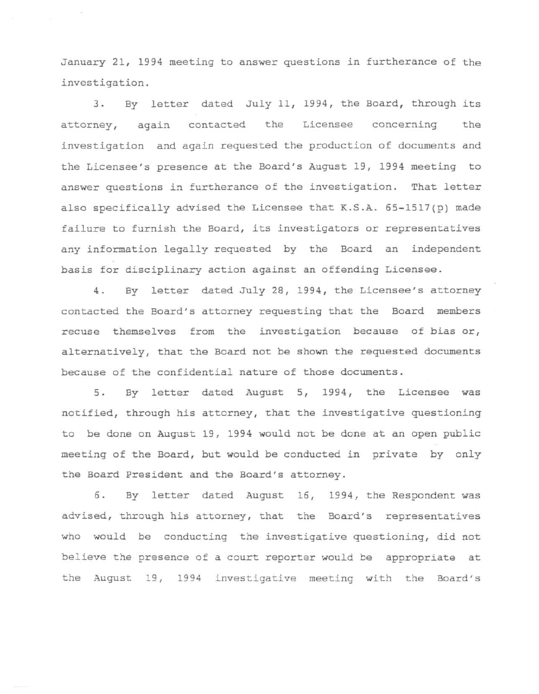January 21, 1994 meeting to answer questions in furtherance of the investigation.

3. By letter dated July 11, 1994, the Board, through its attorney, again contacted the Licensee concerning the investigation and again requested the production of documents and the Licensee's presence at the Board's August 19, 1994 meeting to answer questions in furtherance of the investigation. That letter also specifically advised the Licensee that K.S.A. 65-1517(p) made failure to furnish the Board, its investigators or representatives any information legally requested by the Board an independent basis for disciplinary action against an offending Licensee.

**4. By** letter dated July 28, 1994, the Licensee's attorney contacted the Board's attorney requesting that the Board members recuse themselves from the investigation because of bias or, alternatively, that the Board not be shown the requested documents because of the confidential nature of those documents.

s. By letter dated August S, 1994, the Licensee was notified, through his attorney, that the investigative questioning to be done on August 19, 1994 would not be done at an open public meeting of the Board, but would be conducted in private by only the Board President and the Board's attorney.

6. By letter dated August 16, 1994, the Respondent was advised, through his attorney, that the Board's representatives who would be conducting the investigative questioning, did not believe the presence of a court reporter would be appropriate at the August 19, 1994 investigative meeting with the Board's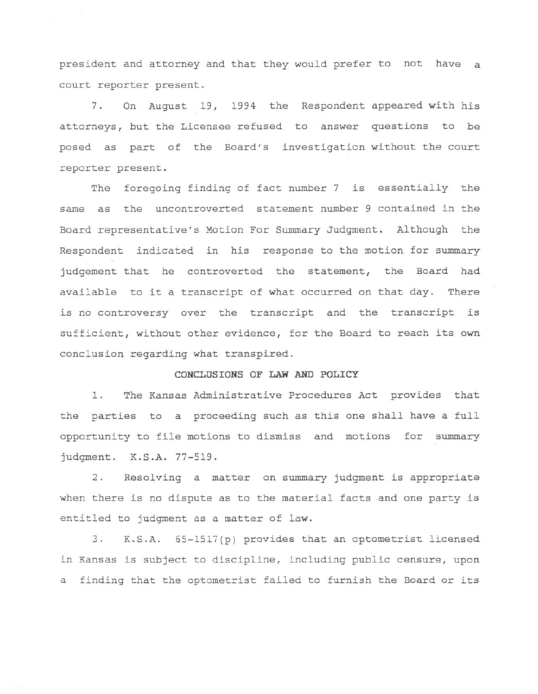president and attorney and that they would prefer to not have a court reporter present.

7. On August 19, 1994 the Respondent appeared with his attorneys, but the Licensee refused to answer questions to be posed as part of the Board's investigation without the court reporter present.

The foregoing finding of fact number 7 is essentially the same as the uncontroverted statement number 9 contained in the Board representative's Motion For Summary Judgment. Although the Respondent indicated in his response to the motion for summary judgement that he controverted the statement, the Board had available to it a transcript of what occurred on that day. There is no controversy over the transcript and the transcript is sufficient, without other evidence, for the Board to reach its own conclusion regarding what transpired.

# **CONCLUSIONS OF LAW AND POLICY**

1. The Kansas Administrative Procedures Act provides that the parties to a proceeding such as this one shall have a full opportunity to file motions to dismiss and motions for summary judgment. **K.S .A.** 77- 519.

2. Resolving a matter on summary judgment is appropriate when there is no dispute as to the material facts and one party is entitled to judgment as a matter of law.

3. K.S.A. 65-1517(p) provides that an optometrist licensed in Kansas is subject to discipline, including public censure, upon a finding that the optometrist failed to furnish the Board or its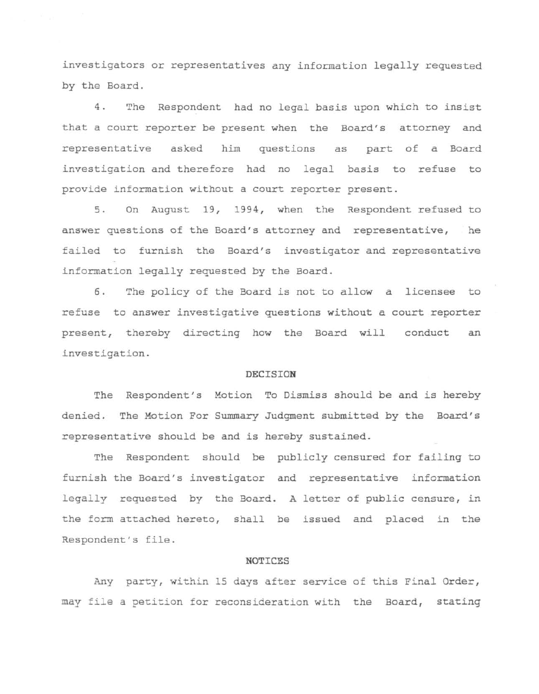investigators or representatives any information legally requested by the Board.

4. The Respondent had no legal basis upon which to insist that a court reporter be present when the Board's attorney and representative asked him questions as part of a Board investigation and therefore had no legal basis to refuse to provide information without a court reporter present.

5. On August 19, 1994, when the Respondent refused to answer questions of the Board's attorney and representative, he failed to furnish the Board's investigator and representative information legally requested by the Board.

6. The policy of the Board is not to allow a licensee to refuse to answer investigative questions without a court reporter present, thereby directing how the Board will conduct an investigation.

## **DECISION**

The Respondent's Motion To Dismiss should be and is hereby denied. The Motion For Summary Judgment submitted by the Board's representative should be and is hereby sustained.

The Respondent should be publicly censured for failing to furnish the Board's investigator and representative information legally requested by the Board. A letter of public censure, in the form attached hereto, shall be issued and placed in the Respondent's file.

### **NOTICES**

Any party, within 15 days after service of this Final Order, may file a petition for reconsideration with the Board, stating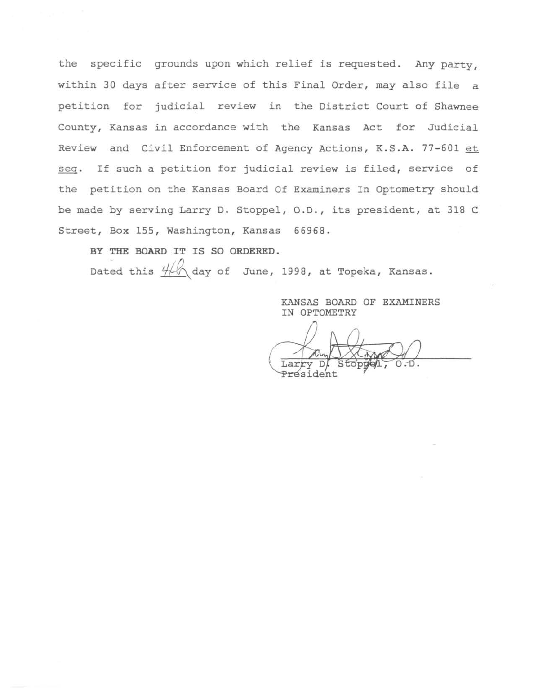the specific grounds upon which relief is requested. Any party, within 30 days after service of this Final Order, may also file a petition for judicial review in the District Court of Shawnee County, Kansas in accordance with the Kansas Act for Judicial Review and Civil Enforcement of Agency Actions, K.S.A. 77-601 et seq. If such a petition for judicial review is filed, service of the petition on the Kansas Board Of Examiners In Optometry should be made by serving Larry D. Stoppel, O.D., its president, at 318 C Street, Box 155, Washington, Kansas 66968.

**BY THE BOARD IT IS SO ORDERED.** 

Dated this  $\frac{4}{\sqrt{2}}$  day of June, 1998, at Topeka, Kansas.

KANSAS BOARD OF EXAMINERS IN OPTOMETRY

Lar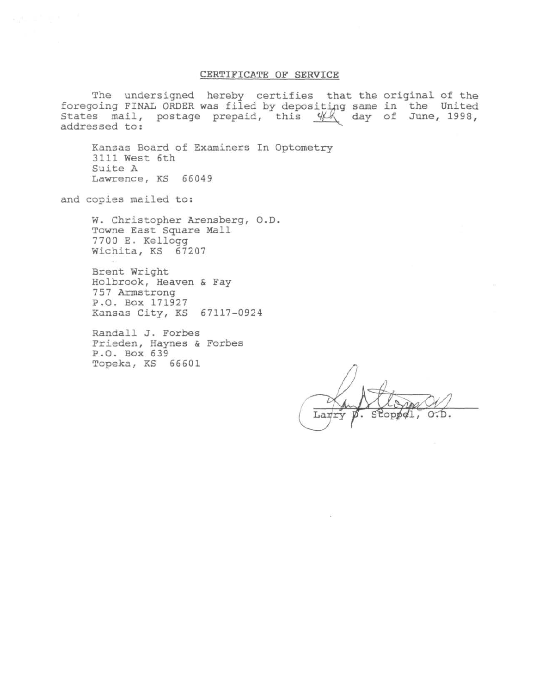#### **CERTIFICATE OF SERVICE**

The undersigned hereby certifies that the original of the foregoing FINAL ORDER was filed by depositing same in the United States mail, postage prepaid, this  $W_{\text{tot}}$  day of June, 1998, addressed to:

Kansas Board of Examiners In Optometry 3111 West 6th Suite A Lawrence, KS 66049

and copies mailed to:

w. Christopher Arensberg, O.D. Towne East Square Mall 7700 E. Kellogg Wichita, KS 67207

Brent Wright Holbrook, Heaven & Fay 757 Armstrong P.O. Box 171927 Kansas City, KS 67117-0924

Randall J. Forbes Frieden, Haynes & Forbes P.O. Box 639 Topeka, KS 66601